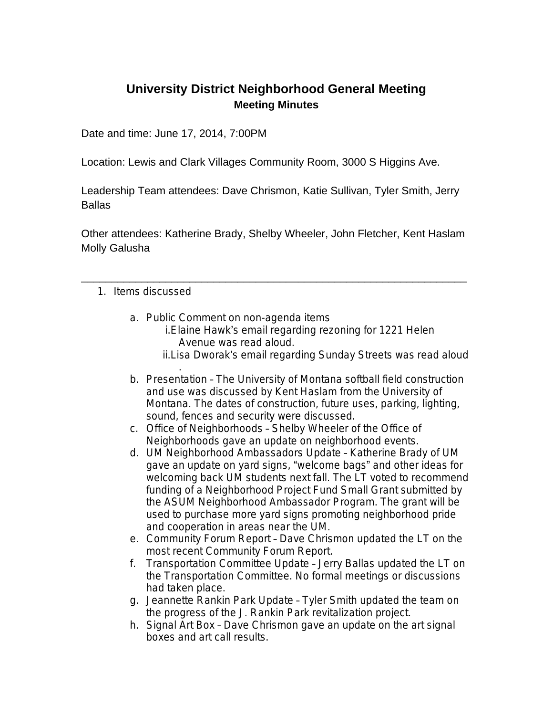## **University District Neighborhood General Meeting Meeting Minutes**

Date and time: June 17, 2014, 7:00PM

Location: Lewis and Clark Villages Community Room, 3000 S Higgins Ave.

Leadership Team attendees: Dave Chrismon, Katie Sullivan, Tyler Smith, Jerry **Ballas** 

Other attendees: Katherine Brady, Shelby Wheeler, John Fletcher, Kent Haslam Molly Galusha

\_\_\_\_\_\_\_\_\_\_\_\_\_\_\_\_\_\_\_\_\_\_\_\_\_\_\_\_\_\_\_\_\_\_\_\_\_\_\_\_\_\_\_\_\_\_\_\_\_\_\_\_\_\_\_\_\_\_\_\_\_\_\_\_

## 1. Items discussed

- a. Public Comment on non-agenda items
	- i.Elaine Hawk's email regarding rezoning for 1221 Helen Avenue was read aloud.
	- ii.Lisa Dworak's email regarding Sunday Streets was read aloud
- . b. Presentation – The University of Montana softball field construction and use was discussed by Kent Haslam from the University of Montana. The dates of construction, future uses, parking, lighting, sound, fences and security were discussed.
- c. Office of Neighborhoods Shelby Wheeler of the Office of Neighborhoods gave an update on neighborhood events.
- d. UM Neighborhood Ambassadors Update Katherine Brady of UM gave an update on yard signs, "welcome bags" and other ideas for welcoming back UM students next fall. The LT voted to recommend funding of a Neighborhood Project Fund Small Grant submitted by the ASUM Neighborhood Ambassador Program. The grant will be used to purchase more yard signs promoting neighborhood pride and cooperation in areas near the UM.
- e. Community Forum Report Dave Chrismon updated the LT on the most recent Community Forum Report.
- f. Transportation Committee Update Jerry Ballas updated the LT on the Transportation Committee. No formal meetings or discussions had taken place.
- g. Jeannette Rankin Park Update Tyler Smith updated the team on the progress of the J. Rankin Park revitalization project.
- h. Signal Art Box Dave Chrismon gave an update on the art signal boxes and art call results.